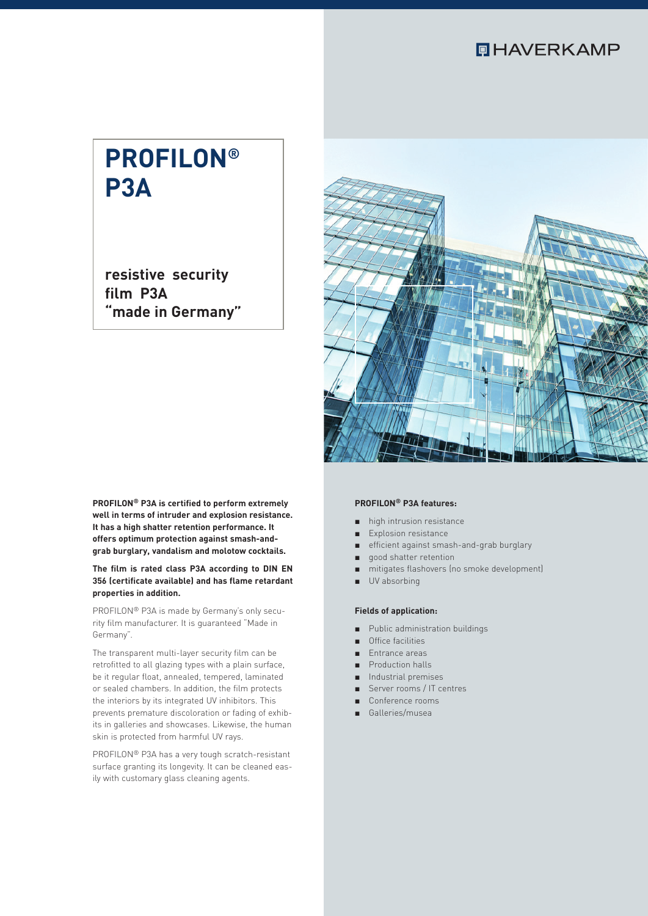## **QHAVERKAMP**

# **PROFILON® P3A**

**resistive security film P3A "made in Germany"**



**PROFILON® P3A is certified to perform extremely well in terms of intruder and explosion resistance. It has a high shatter retention performance. It offers optimum protection against smash-andgrab burglary, vandalism and molotow cocktails.**

#### **The film is rated class P3A according to DIN EN 356 (certificate available) and has flame retardant properties in addition.**

PROFILON® P3A is made by Germany's only security film manufacturer. It is guaranteed "Made in Germany".

The transparent multi-layer security film can be retrofitted to all glazing types with a plain surface, be it regular float, annealed, tempered, laminated or sealed chambers. In addition, the film protects the interiors by its integrated UV inhibitors. This prevents premature discoloration or fading of exhibits in galleries and showcases. Likewise, the human skin is protected from harmful UV rays.

PROFILON® P3A has a very tough scratch-resistant surface granting its longevity. It can be cleaned easily with customary glass cleaning agents.

#### **PROFILON® P3A features:**

- high intrusion resistance
- Explosion resistance
- efficient against smash-and-grab burglary
- good shatter retention
- mitigates flashovers (no smoke development)
- UV absorbing

#### **Fields of application:**

- Public administration buildings
- Office facilities
- Entrance areas
- Production halls
- Industrial premises ■ Server rooms / IT centres
- 
- Conference rooms
- Galleries/musea